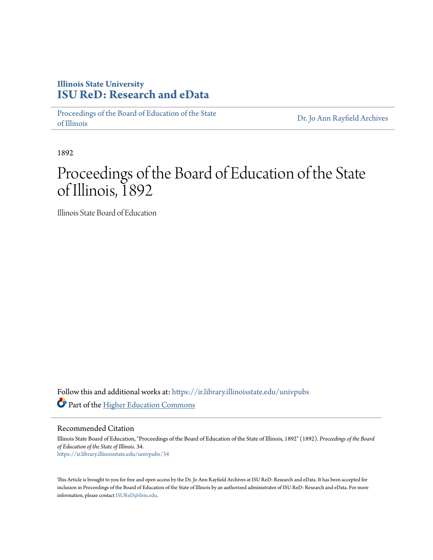# **Illinois State University [ISU ReD: Research and eData](https://ir.library.illinoisstate.edu?utm_source=ir.library.illinoisstate.edu%2Funivpubs%2F34&utm_medium=PDF&utm_campaign=PDFCoverPages)**

[Proceedings of the Board of Education of the State](https://ir.library.illinoisstate.edu/univpubs?utm_source=ir.library.illinoisstate.edu%2Funivpubs%2F34&utm_medium=PDF&utm_campaign=PDFCoverPages) [of Illinois](https://ir.library.illinoisstate.edu/univpubs?utm_source=ir.library.illinoisstate.edu%2Funivpubs%2F34&utm_medium=PDF&utm_campaign=PDFCoverPages)

[Dr. Jo Ann Rayfield Archives](https://ir.library.illinoisstate.edu/arch?utm_source=ir.library.illinoisstate.edu%2Funivpubs%2F34&utm_medium=PDF&utm_campaign=PDFCoverPages)

1892

# Proceedings of the Board of Education of the State of Illinois, 1892

Illinois State Board of Education

Follow this and additional works at: [https://ir.library.illinoisstate.edu/univpubs](https://ir.library.illinoisstate.edu/univpubs?utm_source=ir.library.illinoisstate.edu%2Funivpubs%2F34&utm_medium=PDF&utm_campaign=PDFCoverPages) Part of the [Higher Education Commons](http://network.bepress.com/hgg/discipline/1245?utm_source=ir.library.illinoisstate.edu%2Funivpubs%2F34&utm_medium=PDF&utm_campaign=PDFCoverPages)

Recommended Citation

Illinois State Board of Education, "Proceedings of the Board of Education of the State of Illinois, 1892" (1892). *Proceedings of the Board of Education of the State of Illinois*. 34. [https://ir.library.illinoisstate.edu/univpubs/34](https://ir.library.illinoisstate.edu/univpubs/34?utm_source=ir.library.illinoisstate.edu%2Funivpubs%2F34&utm_medium=PDF&utm_campaign=PDFCoverPages)

This Article is brought to you for free and open access by the Dr. Jo Ann Rayfield Archives at ISU ReD: Research and eData. It has been accepted for inclusion in Proceedings of the Board of Education of the State of Illinois by an authorized administrator of ISU ReD: Research and eData. For more information, please contact [ISUReD@ilstu.edu.](mailto:ISUReD@ilstu.edu)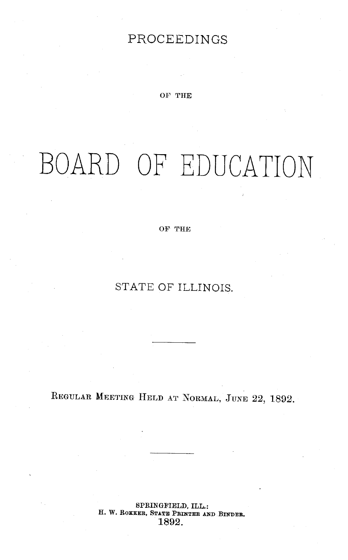# PROCEEDINGS

OF THE

# BOARD OF EDUCATION

OF THE

STATE OF ILLINOIS.

REGULAR MEETING HELD AT NORMAL, JUNE 22, 1892.

SPRINGFIELD, **ILL.: H. W. ROKKER, STATE PRINTER AND BINDER.** 1892.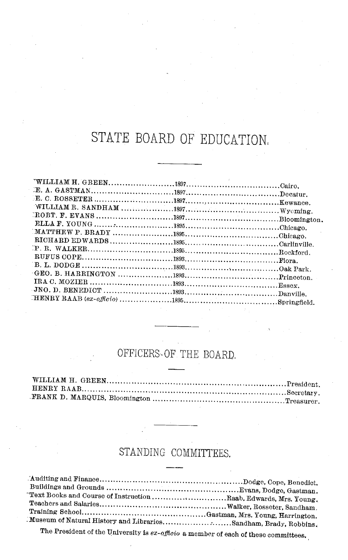# STATE BOARD OF EDUCATION,

## OFFICERS. OF THE BOARD,

## STANDING COMMITTEES.

| "Text Books and Course of Instruction Raab, Edwards, Mrs. Young.                                                                                                                                                               |  |
|--------------------------------------------------------------------------------------------------------------------------------------------------------------------------------------------------------------------------------|--|
|                                                                                                                                                                                                                                |  |
|                                                                                                                                                                                                                                |  |
| Museum of Natural History and LibrariesSandham, Brady, Robbins.                                                                                                                                                                |  |
| The Constitution of the Constitution of the Constitution of the Constitution of the Constitution of the Constitution of the Constitution of the Constitution of the Constitution of the Constitution of the Constitution of th |  |

The President of the University is *ex-officio* a member of each of these committees.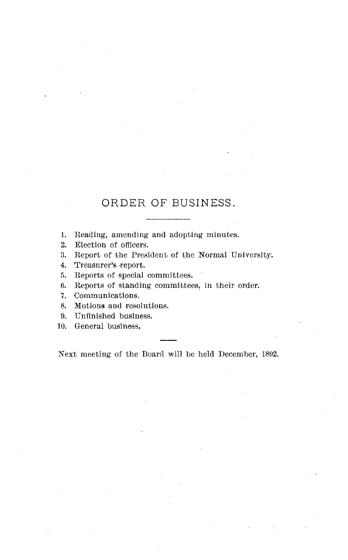### ORDER OF BUSINESS..

1. Reading, amending and adopting minutes.

2. Election of officers.

3. Report of the President of the Normal University.

4. Treasurer's -report.

5. Reports of special committees.

6. Reports of standing committees, in their order.

7. Communications.

8. Motions and resolutions.

9. Unfinished business.

10. General business,

Next meeting of the Board will be held December, 1892.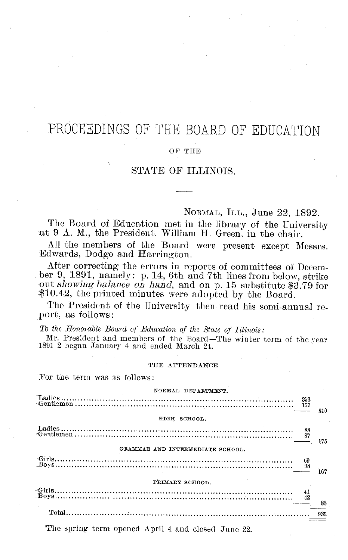# PROCEEDINGS OF THE BOARD OF EDUCATION

#### OF THE

#### STATE OF ILLINOIS.

NORMAL, ILL., June 22, 1892.

The Board of Education met in the library of the University at 9 A. M., the President, William H. Green, in the chair.

All the members of the Board were present except Messrs. Edwards, Dodge and Harrington.

After correcting the errors in reports of committees of December 9, 1891, namely: p. 14, 6th and 7th lines from below, strike out *showing balance on hand*, and on p. 15 substitute \$3.79 for \$10.42, the printed minutes were adopted by the Board.

The President of the University then read his semi-annual report, as follows:

*To the Honorable Board of Education of the State of Illinois:*

Mr. President and members of the Board-The winter term of the year 1891-2 began January 4 and ended March 24.

#### THE ATTENDANCE

For the term was as follows:

| NORMAL DEPARTMENT.               |     |
|----------------------------------|-----|
|                                  | 510 |
| HIGH SCHOOL.                     |     |
|                                  | 175 |
| GRAMMAR AND INTERMEDIATE SCHOOL. |     |
|                                  | 167 |
| PRIMARY SCHOOL.                  |     |
|                                  | 83  |
|                                  |     |

The spring term opened April 4 and closed June 22.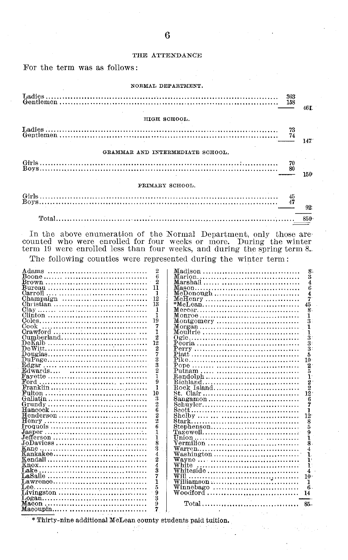#### THE ATTENDANCE

For the term was as follows:

| NORMAL DEPARTMENT.               |       |
|----------------------------------|-------|
|                                  | 46 F. |
| HIGH SCHOOL.                     |       |
|                                  | 147.  |
| GRAMMAR AND INTERMEDIATE SCHOOL. |       |
|                                  | 150   |
| PRIMARY SCHOOL.                  |       |
|                                  | 92:   |
| Total 3850                       |       |

In the above enumeration of the Normal Department, only those are-<br>counted who were enrolled for four weeks or more. During the winter<br>term 19 were enrolled less than four weeks, and during the spring term 8.

The following counties were represented during the winter term:

|                                                                                                       | $\overline{2}$ |                                                                             | R              |
|-------------------------------------------------------------------------------------------------------|----------------|-----------------------------------------------------------------------------|----------------|
|                                                                                                       | 6              |                                                                             | 3              |
|                                                                                                       | $\mathfrak{D}$ |                                                                             | 4              |
|                                                                                                       | 11             |                                                                             |                |
|                                                                                                       |                |                                                                             | 6              |
|                                                                                                       | 1              |                                                                             | 4              |
| Champaign $\ldots, \ldots, \ldots, \ldots, \ldots, \ldots, \ldots$                                    | 12             | $McHenry$                                                                   | 7              |
|                                                                                                       | 13             |                                                                             | 45             |
|                                                                                                       | 1              |                                                                             | 8              |
|                                                                                                       |                |                                                                             |                |
|                                                                                                       | ı              |                                                                             | T              |
|                                                                                                       | 19             | $Montgomery$                                                                | 3              |
| Cook                                                                                                  | 7              |                                                                             |                |
|                                                                                                       | ı              |                                                                             | 1              |
|                                                                                                       | 2              |                                                                             |                |
|                                                                                                       |                |                                                                             | 3              |
|                                                                                                       | 12             |                                                                             | š              |
|                                                                                                       | $\mathbf{2}$   |                                                                             | 3              |
| $\mathrm{Douglas.}, \ldots, \ldots, \ldots, \ldots, \ldots, \ldots, \ldots, \ldots$                   | 7              |                                                                             | 5              |
|                                                                                                       | ż              |                                                                             | 10             |
|                                                                                                       | Ż              |                                                                             | $\overline{2}$ |
|                                                                                                       |                |                                                                             |                |
| $Edwards$                                                                                             | $\overline{2}$ |                                                                             |                |
| ${\bf Favette}\, \ldots \ldots \ldots \ldots \ldots \ldots \ldots \ldots \ldots \ldots \ldots \ldots$ | 1              | Randolph                                                                    | 1              |
| Ford                                                                                                  | 9              |                                                                             | 2              |
|                                                                                                       | 1              | Rock Island                                                                 | $\overline{2}$ |
|                                                                                                       | 10             |                                                                             | $1\bar{2}$     |
|                                                                                                       |                |                                                                             |                |
|                                                                                                       | 3              | Sangamon                                                                    | 6              |
|                                                                                                       | $\overline{2}$ | Schuyler                                                                    |                |
|                                                                                                       | 6              |                                                                             |                |
| $\rm{Henderson} \dots, \dots, \dots, \dots, \dots, \dots, \dots \dots$                                | 2              |                                                                             | $12^{\circ}$   |
|                                                                                                       | 2              |                                                                             |                |
|                                                                                                       |                |                                                                             | 8              |
|                                                                                                       | в              |                                                                             | 5              |
| $Jasper \dots \dots \dots \dots \dots \dots \dots \dots \dots \dots \dots \dots \dots \dots$          | 1              |                                                                             | 9              |
| Jefferson                                                                                             | 1              |                                                                             | 1              |
| $JoDavies: \ldots \ldots \ldots \ldots \ldots \ldots \ldots \ldots \ldots \ldots \ldots$              | 8              |                                                                             | 8              |
|                                                                                                       | 8              |                                                                             | 4              |
|                                                                                                       | 4              |                                                                             |                |
|                                                                                                       |                | $Washington \ldots \ldots \ldots \ldots \ldots \ldots \ldots \ldots \ldots$ | 1              |
|                                                                                                       | 2              |                                                                             | 1.             |
|                                                                                                       | 4              | White                                                                       | Ŧ              |
|                                                                                                       | š              | Whiteside                                                                   | 4              |
|                                                                                                       | 7              |                                                                             | 10             |
|                                                                                                       | 1              |                                                                             | ı              |
| $\text{Lawrence} \ldots \ldots \ldots \ldots \ldots \ldots \ldots \ldots \ldots \ldots \ldots$        |                |                                                                             |                |
|                                                                                                       | 5              | Winnebago                                                                   | 6              |
| Livingston                                                                                            | ğ              | Woodford                                                                    | 14             |
| $Logan \ldots \ldots \ldots \ldots \ldots \ldots \ldots \ldots \ldots \ldots \ldots$                  | š              |                                                                             |                |
|                                                                                                       | 9              |                                                                             |                |
| Macoupin                                                                                              | 7              |                                                                             |                |
|                                                                                                       |                |                                                                             |                |

\* Thirty-nine additional McLean county students paid tuition.

36 S.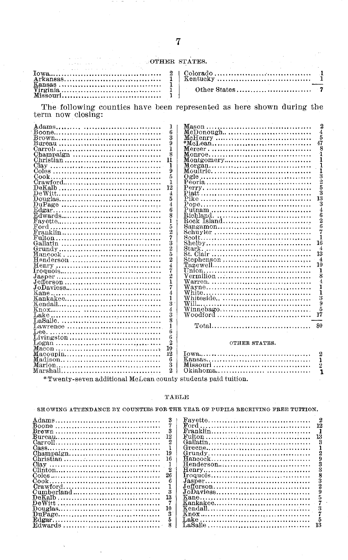#### OTHER STATES.

| the company of the company of the company of the company of the company of the company of the company of the company of the company of the company of the company of the company of the company of the company of the company |  |  |
|-------------------------------------------------------------------------------------------------------------------------------------------------------------------------------------------------------------------------------|--|--|
| $Virzinia \ldots \ldots \ldots \ldots \ldots \ldots \ldots \ldots \ldots \ldots$                                                                                                                                              |  |  |

The following counties have been represented as here shown during the term now closing:  $\,$ 

| 4                                                                                             |
|-----------------------------------------------------------------------------------------------|
| 5                                                                                             |
| 47                                                                                            |
| 8                                                                                             |
|                                                                                               |
|                                                                                               |
|                                                                                               |
|                                                                                               |
| Moultrie                                                                                      |
|                                                                                               |
|                                                                                               |
| 5                                                                                             |
| 3                                                                                             |
| 13                                                                                            |
|                                                                                               |
| 3                                                                                             |
| 4<br>$Putnam$                                                                                 |
| 6                                                                                             |
| 2<br>$\text{Rock Island} \dots \dots \dots \dots \dots \dots \dots \dots \dots$               |
| Ġ                                                                                             |
|                                                                                               |
|                                                                                               |
| $1\bar{6}$                                                                                    |
|                                                                                               |
| 4                                                                                             |
| 13<br>$St. Clair  \ldots  \ldots  \ldots  \ldots  \ldots $                                    |
| $\boldsymbol{4}$                                                                              |
| 10<br>$\text{Tazewell} \ldots \ldots \ldots \ldots \ldots \ldots \ldots \ldots \ldots \ldots$ |
| ı                                                                                             |
| Vermilion                                                                                     |
| $\text{Warren.} \dots \dots \dots \dots \dots \dots \dots \dots \dots \dots \dots \dots$      |
| ľ                                                                                             |
|                                                                                               |
| ٦                                                                                             |
| 3<br>Whiteside                                                                                |
| 9                                                                                             |
| $W$ innebago                                                                                  |
| 17<br>Woodford                                                                                |
|                                                                                               |
|                                                                                               |
|                                                                                               |
|                                                                                               |
|                                                                                               |
| OTHER STATES.                                                                                 |
|                                                                                               |
| 2                                                                                             |
| 1                                                                                             |
|                                                                                               |
|                                                                                               |
|                                                                                               |
| *Twenty-seven additional McLean county students paid tuition.                                 |
|                                                                                               |

#### **TABLE**

|                                                                                       | SHOWING ATTENDANCE BY COUNTIES FOR THE YEAR OF PUPILS RECEIVING FREE TUITION.      |
|---------------------------------------------------------------------------------------|------------------------------------------------------------------------------------|
|                                                                                       | $\text{Favette} \dots \dots \dots \dots \dots \dots \dots \dots \dots \dots \dots$ |
|                                                                                       |                                                                                    |
| $Brown \dots \dots \dots \dots \dots \dots \dots \dots \dots \dots \dots \dots \dots$ |                                                                                    |
|                                                                                       |                                                                                    |
|                                                                                       |                                                                                    |
|                                                                                       |                                                                                    |
| $Chamvaien, \ldots, \ldots, \ldots, \ldots, \ldots, \ldots, \ldots, \ldots, \ldots$   |                                                                                    |
| 16<br>Christian                                                                       |                                                                                    |
|                                                                                       |                                                                                    |
|                                                                                       |                                                                                    |
| 26                                                                                    |                                                                                    |
|                                                                                       |                                                                                    |
|                                                                                       |                                                                                    |
| 8<br>Cumberland                                                                       | JoDaviess                                                                          |
|                                                                                       |                                                                                    |
|                                                                                       |                                                                                    |
|                                                                                       |                                                                                    |
|                                                                                       |                                                                                    |
|                                                                                       |                                                                                    |
| Edwards,                                                                              |                                                                                    |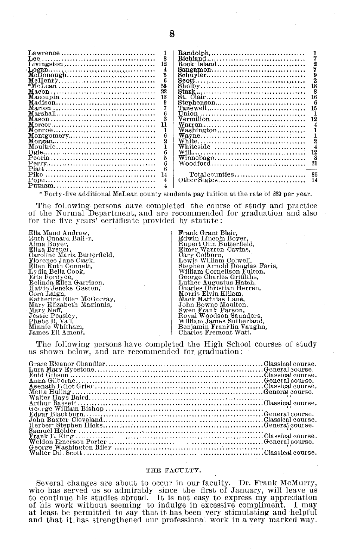| $\text{Lawrence} \dots \dots \dots \dots \dots \dots \dots \dots \dots \dots \dots$ |    | $\texttt{Random} \dots \dots \dots \dots \dots \dots \dots \dots \dots \dots \dots \dots$ |  |
|-------------------------------------------------------------------------------------|----|-------------------------------------------------------------------------------------------|--|
|                                                                                     |    |                                                                                           |  |
|                                                                                     | 12 | Rock Island                                                                               |  |
|                                                                                     |    | $Sangamon \ldots \ldots \ldots \ldots \ldots \ldots \ldots \ldots \ldots$                 |  |
|                                                                                     |    |                                                                                           |  |
|                                                                                     |    |                                                                                           |  |
|                                                                                     |    |                                                                                           |  |
|                                                                                     |    |                                                                                           |  |
|                                                                                     |    | St. Clair                                                                                 |  |
|                                                                                     |    | Stephenson                                                                                |  |
|                                                                                     |    | $\text{Tazewell} \dots \dots \dots \dots \dots \dots \dots \dots \dots \dots \dots$       |  |
|                                                                                     |    |                                                                                           |  |
|                                                                                     |    | Vermilion                                                                                 |  |
|                                                                                     |    |                                                                                           |  |
|                                                                                     |    | Washington                                                                                |  |
| $\text{Montgeometry} \dots \dots \dots \dots \dots \dots \dots \dots \dots \dots$   |    |                                                                                           |  |
|                                                                                     |    |                                                                                           |  |
|                                                                                     |    | Whiteside                                                                                 |  |
|                                                                                     |    |                                                                                           |  |
|                                                                                     |    | Winnebago                                                                                 |  |
|                                                                                     |    |                                                                                           |  |
|                                                                                     |    |                                                                                           |  |
|                                                                                     |    | Total counties                                                                            |  |
|                                                                                     |    |                                                                                           |  |
|                                                                                     |    |                                                                                           |  |
|                                                                                     |    |                                                                                           |  |

\* Forty-five additional McLean county students pay tuition at the rate of \$39 per year.

The following persons have completed the course of study and practice of the Normal Department, and are recommended for graduation and also for the five years' certificate provided by statute:

| Ella Maud Andrew.           | Frank Grant Blair.            |
|-----------------------------|-------------------------------|
| Ruth Cunard Ball~r,         | Edwin Lincoln Boyer.          |
| Alma Boyer,                 | Rupert Olin Butterfield.      |
| Eliza Breuer.               | Elmer Warren Cavins.          |
| Caroline Maria Butterfield. | Cary Colburn,                 |
| Florence Jane Clark.        | Lewis William Colwell.        |
| Ellen Ruth Connett.         | Stephen Arnold Douglas Faris. |
| Lydia Bella Cook,           | William Cornelison Fulton.    |
| Etta Fordvce.               | George Charles Griffiths.     |
| Belinda Ellen Garrison.     | Luther Augustus Hatch.        |
| Hattie Jencks Gaston.       | Charles Christian Herren,     |
| Cora Laign.                 | Morris Elvin Killam.          |
| Katherine Ellen McGorray.   | Mack Matthias Lane.           |
| Mary Elizabeth Maginnis,    | John Bowne Moulton.           |
| Mary Neff.                  | Swen Frank Parson.            |
| Jessie Peasley.             | Royal Woodson Saunders.       |
| Phebe R. Vail.              | William James Sutherland.     |
| Minnie Whitham,             | Benjamin Franklin Vaughn,     |
| James Eli Ament.            | Charles Fremont Watt.         |
|                             |                               |

The following persons have completed the High School courses of study as shown below, and are recommended for graduation:

#### **THE** FACULTY.

Several changes are about to occur in our faculty. Dr. Frank McMurry, who has served us so admirably since the first of January, will leave us to continue his studies abroad. It is not easy to express my appreciation of his work without seeming to indulge in excessive compliment. I may at least be permitted to say that it has been very stimulating and helpful and that it. has strengthened our professional work in a very marked way.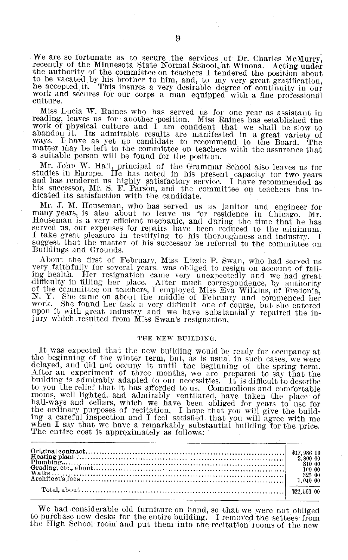We are so fortunate as to secure the services of Dr. Charles McMurry, recently of the Minnesota State Normal School, at Winona. Acting under the authority of the committee on teachers I tendered the position about to be va he accepted it. This insures a very desirable degree of continuity in our work and secures for our corps a man equipped with a fine professional culture.

Miss Lucia W. Raines who has served us for one year as assistant in<br>reading, leaves us for another position. Miss Raines has established the<br>work of physical culture and I am confldent that we shall be slow to<br>abandon it. ways. I have as yet no candidate to recommend to the Board. The matter may be left to the committee on teachers with the assurance that a suitable person will be found for the position.<br>Mr. John W. Hall, principal of the Grammar School also leaves us for

studies in Europe. He has acted in his present capacity for two years<br>and has rendered us highly satisfactory service. I have recommended as<br>his successor, Mr. S. F. Parson, and the committee on teachers has indicated its satisfaction with the candidate.

Mr. J. M. Houseman, who has served us as janitor and engineer for many years, is also about to leave us for residence in Chicago. Mr. Houseman is a very efficient mechanic, and during the time that he has served us, our expenses for repairs have been reduced to the minimum. I take great pleasure in testifying to his thoroughness and industry. I suggest that the matter of his successor be referred to the committee on Buildings and Grounds.

About the first of February, Miss Lizzie P. Swan, who had served us very faithfully for several years. was obliged to resign on account of failing health. Her resignation came very unexpectedly and we had great<br>difficulty in filling her place. After much correspondence, by authority<br>of the committee on teachers, I employed Miss Eva Wilkins, of Fredonia,<br>N. Y. She upon it with great industry and we have substantially repaired the injury which resulted from Miss Swan's resignation,

#### THE NEW BUILDING.

It was expected that the new building would be ready for occupancy at<br>the beginning of the winter term, but, as is usual in such cases, we were<br>delayed, and did not occupy it until the beginning of the spring term.<br>After a building is admirably adapted to our necessities. It is difficult to describe to you the relief that it has afforded to us. Commodious and comfortable rooms, well lighted, and admirably ventilated, have taken the place of hall-ways and cellars, which we have been obliged for years to use for the ordinary purposes of recitation, I hope that you will give the building a careful inspection and I feel satisfied that you will agree with me when I say that we have a remarkably substantial building for the price. The entire cost is approximately as follows:

We had considerable old furniture on hand, so that we were not obliged to purchase new desks for the-entire building. I removed the settees from the High School room and put them into the recitation rooms of the new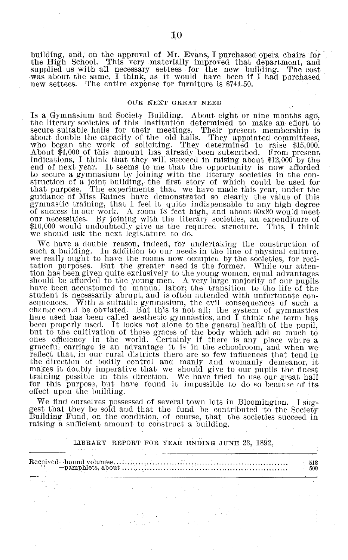building, and, on the approval of Mr. Evans, I purchased opera chairs for the High School. This very materially improved that department, and supplied us with all necessary settees for the new building. The cost was about the same, I think, as it would have been if I had purchased new settees. The entire expense for furniture is \$741.50.

#### OUR NEXT GREAT NEED

Is a Gymnasium and Society Building. About eight or nine months ago, the literary societies of this institution determined to make an eflort to about double the capacity of the old halls. They appointed committees who began the work of soliciting. They determined to raise \$15,000 About \$4,000 of this amount has already been subscribed. From present indications, I think that they will succeed in raising about \$12,000 by the end of next year. It seems to me that the opportunity is now afforded to secure a gymnasium by joining with the literary societies in the con- struction of a joint building, the first story of which could be used for that purpose. The experiments thau we have made this year, under the guidance of Miss Raines have demonstrated so clearly the value of this gymnastic training, that I feel it quite indispensable to any high degree of success in our work. A room 18 feet high, and about 60x80 would meet our necessities. By joining with the literary societies, an expenditure of \$10,000 would undoubtedly give us the required structure. This, I think we should ask the next legislature to do.

We have a double reason, indeed, for undertaking the construction of such a building. In addition to our needs in the line of physical culture, we really ought to have the rooms now occupied by the societies, for recitation purposes. But the greater need is the former. While our attention has been given quite exclusively to the young women, equal advantages should be afforded to the young men. A very large majority of our pupils have been accustomed to manual labor; the transition to the life of the student is necessarily abrupt, and is often attended with unfortunate consequences. With a suitable gymnasium, the evil consequences of such a change could be obviated. But this is not all; the system of gymnastics here used has been called aesthetic gymnastics, and I think the term has been pr but to the cultivation of those graces of the body which add so much to ones efficiency in the world. Certainly if there is any place where a graceful carriage is an advantage it is in the schoolroom, and when we the direction of bodily control and manly and womanly demeanor, it makes it doubly imperative that we should give to our pupils the finest training possible in this direction. We have tried to use our great hall for this purpose, but have found it impossible to do so because of its effect upon the building.

We find ourselves possessed of several town lots in Bloomington. I suggest that they be sold and that the fund be contributed to the Society Building Fund, on the condition, of course, that the societies succeed in raising a sufficient amount to construct a building.

LIBRARY REPORT FOR YEAR ENDING JUNE 23, 1892.

| 医心脏病 医心脏病 医心脏病 医心脏病 医心脏病 医心脏病 医血管 医心脏 医心脏 医单位 医卡尔氏试验检尿病<br>Received-bound<br>$\sim$ volumes<br>-pamphlets.about | 513<br>500 |  |
|-----------------------------------------------------------------------------------------------------------------|------------|--|
| <b>STATISTICS IN THE REAL PROPERTY AND INCOME.</b>                                                              |            |  |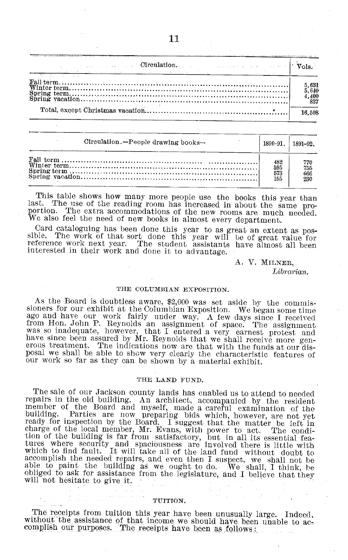| and the second contract of <b>Circulation.</b> The contract of the second contract of $\mathbf{v}_{\mathrm{ols}}$<br><u>in the property of the property of the company of the property of the company of the company of the company of the company of the company of the company of the company of the company of the company of the company of the c</u> |  |                                                         |
|-----------------------------------------------------------------------------------------------------------------------------------------------------------------------------------------------------------------------------------------------------------------------------------------------------------------------------------------------------------|--|---------------------------------------------------------|
|                                                                                                                                                                                                                                                                                                                                                           |  | $\begin{array}{c} 5,631\ 5,640\ 4,400\ 837 \end{array}$ |
|                                                                                                                                                                                                                                                                                                                                                           |  | 16.508                                                  |

| Circulation.-People drawing books- | 1890-91. | 1891-92. |
|------------------------------------|----------|----------|
|                                    | 482      | 770      |
|                                    | 595      | 755      |
|                                    | 573      | 666      |
|                                    | 155      | 230      |

This table shows how many more people use the books this year than<br>last. The use of the reading room has increased in about the same pro-<br>portion. The extra accommodations of the new rooms are much needed.<br>We also feel the

Card cataloguing has been done this year to as great an extent as possible. The work of that sort done this year will be of great value for reference work next year. The student assistants have almost all been interested i

A. V. MILNER, *Librarian.*

#### **THE COLUMBIAN EXPOSITION.**

As the Board is doubtless aware, \$2,000 was set aside by the commissioners for our exhibit at the Columbian Exposition. We began some time ago and have our work fairly under way. A few days since I received<br>from Hon. John P. Reynolds an assignment of space. The assignment<br>was so inadequate, however, that I entered a very earnest protest and<br>have since been as

#### **THE LAND FUND.**

The sale of our Jackson county lands has enabled us to attend to needed repairs in the old building. An architect, accompanied by the resident member of the Board and myself, made a careful examination of the building. Parties are now preparing bids which, however, are not yet ready for inspection by the Board. I suggest that the matter be left in charge of the l tures where security and spaciousness are involved there is little with which to find fault. It will take all of the land fund without doubt to accomplish the needed repairs, and even then I suspect, we shall not be able to paint the building as we ought to do. We shall, I think, be obliged to ask for assistance from the legislature, and I believe that they will not hesitate to give it.

#### **TUITION.**

The receipts from tuition this year have been unusually large. Indeed, without the assistance of that income we should have been unable to ac- complish our purposes. The receipts have been as follows: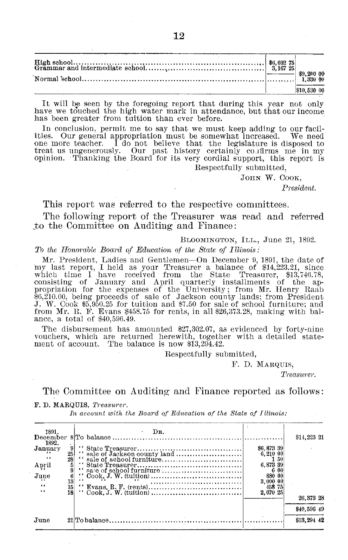|  | \$10,530 00 |
|--|-------------|

It will be seen by the foregoing report that during this year not only have we touched the high water mark in attendance, but that our income has been greater from tuition than ever before.

In conclusion, permit me to say that we must keep adding to our facilities. Our general appropriation must be somewhat increased. We need one more teacher. I do not believe that the legislature is disposed to treat us ungenerously. Our past history certainly co firms me in my opinion. Thanking the Board for its very cordial support, this report is Respectfully submitted,

JOHN W. COOK,

*President.*

This report was referred to the respective committees.

The following report of the Treasurer was read and referred ,to the Committee on Auditing and Finance:

BLOOMINGTON, ILL., June 21, 1892.

*To the Honorable Board of Education of the State of Illinois:*

Mr. President, Ladies and Gentlemen-On December 9, 1891, the date of my last report, I held as your Treasurer a balance of \$14,223.21, since which time I have received from the State Treasurer, \$13,746.78 consisting of January and April quarterly installments of the ap-<br>propriation for the expenses of the University; from Mr. Henry Raab \$6,210.00, being proceeds of sale of Jackson county lands; from President J. W. Cook \$5,950.25 for tuition and \$7.50 for sale of school furniture: and from Mr. R. F. Evans \$458.75 for rents, in all \$26,373.28, making with balance, a total of \$40,596.49.

The disbursement has amounted \$27,302.07, as evidenced by forty-nine vouchers, which are returned herewith, together with a detailed statement of account. The balance is now \$13,294.42.

Respectfully submitted,

F. D. MARQUIS,

*Treasurer.*

The Committee on Auditing and Finance reported as follows:

F. **D. MARQUIS,** *Treasurer.*

*In account with the Board of Education of the State of Illinois:*

| 1891.<br>December   |                | $\mathbf{D}\mathbf{R}$ . |                                | \$14,223 21 |
|---------------------|----------------|--------------------------|--------------------------------|-------------|
| 1892.               |                |                          |                                |             |
| January<br>$\cdots$ | 25<br>28       |                          | \$6,873 39<br>6,210 00<br>50   |             |
| April               |                |                          | 6.873 39                       |             |
|                     |                |                          | 6 00                           |             |
| June                | $\frac{6}{13}$ |                          | 880 00                         |             |
| 6.6<br>6.6          | 15<br>18       |                          | 3.000 00<br>458 75<br>2.070 25 |             |
|                     |                |                          |                                | 26.373 28   |
|                     |                |                          |                                | \$40,596 49 |
| June                |                |                          |                                | \$13,294 42 |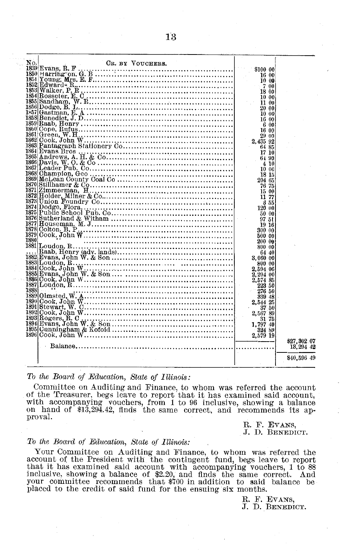| No.  | CR. BY VOUCHERS.                                                                                                                                                                                                                                                                                                                                                                                                                                                                                |                      |             |  |
|------|-------------------------------------------------------------------------------------------------------------------------------------------------------------------------------------------------------------------------------------------------------------------------------------------------------------------------------------------------------------------------------------------------------------------------------------------------------------------------------------------------|----------------------|-------------|--|
|      |                                                                                                                                                                                                                                                                                                                                                                                                                                                                                                 |                      |             |  |
|      |                                                                                                                                                                                                                                                                                                                                                                                                                                                                                                 |                      |             |  |
|      |                                                                                                                                                                                                                                                                                                                                                                                                                                                                                                 |                      |             |  |
|      |                                                                                                                                                                                                                                                                                                                                                                                                                                                                                                 |                      |             |  |
|      |                                                                                                                                                                                                                                                                                                                                                                                                                                                                                                 |                      |             |  |
|      |                                                                                                                                                                                                                                                                                                                                                                                                                                                                                                 |                      |             |  |
|      |                                                                                                                                                                                                                                                                                                                                                                                                                                                                                                 |                      |             |  |
|      |                                                                                                                                                                                                                                                                                                                                                                                                                                                                                                 |                      |             |  |
|      |                                                                                                                                                                                                                                                                                                                                                                                                                                                                                                 |                      |             |  |
|      |                                                                                                                                                                                                                                                                                                                                                                                                                                                                                                 |                      |             |  |
|      |                                                                                                                                                                                                                                                                                                                                                                                                                                                                                                 |                      |             |  |
|      |                                                                                                                                                                                                                                                                                                                                                                                                                                                                                                 |                      |             |  |
|      |                                                                                                                                                                                                                                                                                                                                                                                                                                                                                                 |                      |             |  |
|      |                                                                                                                                                                                                                                                                                                                                                                                                                                                                                                 |                      |             |  |
|      |                                                                                                                                                                                                                                                                                                                                                                                                                                                                                                 |                      |             |  |
|      |                                                                                                                                                                                                                                                                                                                                                                                                                                                                                                 | 17 10                |             |  |
|      |                                                                                                                                                                                                                                                                                                                                                                                                                                                                                                 | 64.90                |             |  |
|      |                                                                                                                                                                                                                                                                                                                                                                                                                                                                                                 | 4 10                 |             |  |
|      |                                                                                                                                                                                                                                                                                                                                                                                                                                                                                                 | 10 00                |             |  |
|      |                                                                                                                                                                                                                                                                                                                                                                                                                                                                                                 | 18 15                |             |  |
|      |                                                                                                                                                                                                                                                                                                                                                                                                                                                                                                 | 204 65               |             |  |
|      |                                                                                                                                                                                                                                                                                                                                                                                                                                                                                                 | 76 75                |             |  |
|      |                                                                                                                                                                                                                                                                                                                                                                                                                                                                                                 | 15.00                |             |  |
|      |                                                                                                                                                                                                                                                                                                                                                                                                                                                                                                 | 11 77                |             |  |
|      | ${1864 \text{ Hvarens Bros}} \qquad \qquad {\rm A. H. \& Co.} \qquad \qquad {\rm R865 \text{ Ander Pous}} \qquad \qquad {\rm R866 \text{ Ander Pous}} \qquad \qquad {\rm R867 \text{ Ander Pous}} \qquad \qquad {\rm R867 \text{ Dearl-} each of 1868 \text{ Champion}} \qquad \qquad {\rm R868 \text{ Champion}} \qquad \qquad {\rm R868 \text{ Champion}} \qquad \qquad {\rm R869 \text{ McLean County Cool}\qquad \qquad {\rm R871 \text{ Zimmerman}} \qquad {\rm R871 \text{ Zimmerman}} \$ | - 3-55               |             |  |
|      |                                                                                                                                                                                                                                                                                                                                                                                                                                                                                                 | 120 00               |             |  |
|      |                                                                                                                                                                                                                                                                                                                                                                                                                                                                                                 | 50 00                |             |  |
|      |                                                                                                                                                                                                                                                                                                                                                                                                                                                                                                 | 97.51                |             |  |
|      |                                                                                                                                                                                                                                                                                                                                                                                                                                                                                                 | 19 16                |             |  |
|      |                                                                                                                                                                                                                                                                                                                                                                                                                                                                                                 | 300 00               |             |  |
|      |                                                                                                                                                                                                                                                                                                                                                                                                                                                                                                 | 500 00               |             |  |
| 1880 |                                                                                                                                                                                                                                                                                                                                                                                                                                                                                                 | 200 00               |             |  |
|      |                                                                                                                                                                                                                                                                                                                                                                                                                                                                                                 | 800 00               |             |  |
|      |                                                                                                                                                                                                                                                                                                                                                                                                                                                                                                 | 64 40                |             |  |
|      |                                                                                                                                                                                                                                                                                                                                                                                                                                                                                                 | 3.060 00             |             |  |
|      |                                                                                                                                                                                                                                                                                                                                                                                                                                                                                                 |                      |             |  |
|      |                                                                                                                                                                                                                                                                                                                                                                                                                                                                                                 | 800 00               |             |  |
|      |                                                                                                                                                                                                                                                                                                                                                                                                                                                                                                 | 2.594 06<br>2,204 00 |             |  |
|      |                                                                                                                                                                                                                                                                                                                                                                                                                                                                                                 |                      |             |  |
|      |                                                                                                                                                                                                                                                                                                                                                                                                                                                                                                 | 2.574 85             |             |  |
| 1888 |                                                                                                                                                                                                                                                                                                                                                                                                                                                                                                 | 223 50<br>$-27650$   |             |  |
|      |                                                                                                                                                                                                                                                                                                                                                                                                                                                                                                 |                      |             |  |
|      |                                                                                                                                                                                                                                                                                                                                                                                                                                                                                                 | 339 48<br>2.544 25   |             |  |
|      |                                                                                                                                                                                                                                                                                                                                                                                                                                                                                                 |                      |             |  |
|      |                                                                                                                                                                                                                                                                                                                                                                                                                                                                                                 | 37.50                |             |  |
|      |                                                                                                                                                                                                                                                                                                                                                                                                                                                                                                 | 2,567 89             |             |  |
|      | $1893   \text{Rogers}, \text{R. O}_{21}, \ldots, \text{R. O}_{31}   \text{R. O}_{31}  $                                                                                                                                                                                                                                                                                                                                                                                                         | 31 75                |             |  |
|      |                                                                                                                                                                                                                                                                                                                                                                                                                                                                                                 | 1,797 40             |             |  |
|      |                                                                                                                                                                                                                                                                                                                                                                                                                                                                                                 | - 324 89             |             |  |
|      |                                                                                                                                                                                                                                                                                                                                                                                                                                                                                                 | 2.579 19             |             |  |
|      |                                                                                                                                                                                                                                                                                                                                                                                                                                                                                                 |                      | \$27,302.07 |  |
|      |                                                                                                                                                                                                                                                                                                                                                                                                                                                                                                 |                      | 13, 294 45  |  |
|      |                                                                                                                                                                                                                                                                                                                                                                                                                                                                                                 |                      |             |  |
|      |                                                                                                                                                                                                                                                                                                                                                                                                                                                                                                 |                      | \$40,596 49 |  |
|      |                                                                                                                                                                                                                                                                                                                                                                                                                                                                                                 |                      |             |  |

#### *To the Board of Education, State of Illinois:*

Committee on Auditing and Finance, to whom was referred the account of the Treasurer, begs leave to report that it has examined said account, with accompanying vouchers, from 1 to 96 inclusive, showing a balance on hand of

R. F. EVANS, **J. D.** BENEDICT.

#### *To the Board of Education, State of Illinois:*

Your Committee on Auditing and Finance, to whom was referred the<br>account of the President with the contingent fund, begs leave to report<br>that it has examined said account with accompanying vouchers, 1 to 88<br>inclusive, show placed to the credit of said fund for the ensuing six months.

R. F. EVANS, **J. D.** BENEDICT.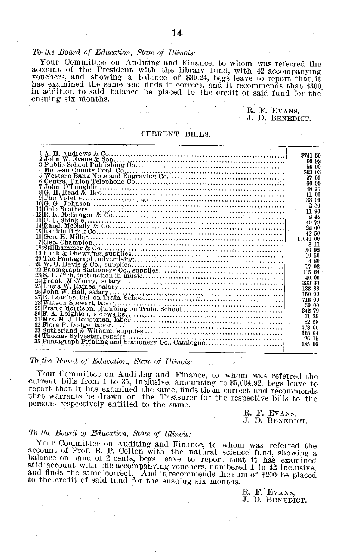#### *To- the Board of Education, State of Illinois:*

Your Committee on Auditing and Finance, to whom was referred the<br>account of the President with the library fund, with 42 accompanying<br>vouchers, and showing a balance of \$39.24, begs leave to report that it<br>has examined the in addition to said balance be placed to the credit of said fund for the ensuing six months.

> .R. F. EVANS, J. D. **BENEDICT.**

#### **CURRENT BILLS.**

*To the Board of Education, State of Illinois:*

Your Committee on Auditing and Finance, to whom was referred the current bills from 1 to 35, inclusive, amounting to \$5,004.92, begs leave to report that it has examined the same, finds them correct and recommends that warrants be drawn on the Treasurer for the respective bills to the persons respectively entitled to the same.

R. F. EVANS,<br>J. D. BENEDICT

#### *To the Board of Education, State of Illinois:*

Your Committee on Auditing and Finance, to whom was referred the account of Prof. B. P. Colton with the natural science fund, showing a balance on hand of 2 cents, begs leave to report that it has examined said account with the accompanying vouchers, numbered 1 to 42 inclusive, and finds the same correct. And it recommends the sum of \$200 be placed to the credit of said fund for the ensuing six months.

R. F. EVANS, **J.** D. BENEDICT.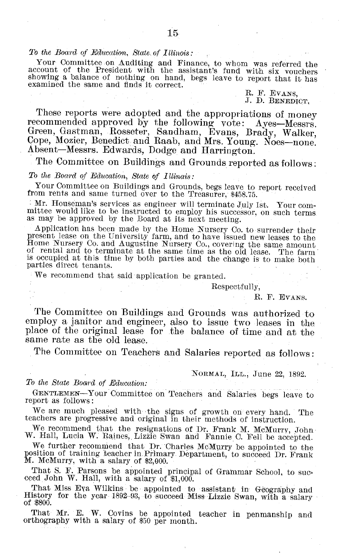#### *To the Board of Education, State of Illinois:*

Your Committee on Auditing and Finance, to whom was referred the account of the President with the assistant's fund with six vouchers showing a balance of nothing on hand, begs leave to report that it has examined the same

R. F. EVANS,<br>J. D. BENEDICT

These reports were adopted and the appropriations of money recommended approved by the following vote: Ayes-Messrs. Green, Gastman, Rosseter, Sandham, Evans, Brady, Walker, Cope, Mozier, Benedict and Raab, and Mrs. Young. Absent-Messrs. Edwards, Dodge and Harrington.

The Committee on Buildings and Grounds reported as follows;

#### *To the Board of Education, State of Illinais:*

Your Committee on Buildings and Grounds, begs leave to report received from rents and same turned over to the Treasurer, \$458.75.

Mr. Houseman's services as engineer will terminate July 1st. Your com- mittee would like to be instructed to employ his successor, on such terms as may be approved by the Board at its next meeting.

Application has been made by the Home Nursery Co. to surrender their present lease on the University farm, and to have issued new leases to the Home Nursery Co. and Augustine Nursery Co., covering the same amount of rental and to terminate at the same time as the old lease. The farm is occu

We recommend that said application be granted.

Respectfully,

R. F. EVANS.

The Committee on Buildings and Grounds was authorized to employ a janitor and engineer, also to issue two leases in the place of the original lease for the balance of time and at the same rate as the old lease.

The Committee on Teachers and Salaries reported as follows:

#### NORMAL, ILL., June 22, 1892.

#### *To the State Board of Education:*

GENTLEMEN-Your Committee on Teachers and Salaries begs leave to report as follows:

We are much pleased with the signs of growth on every hand. The teachers are progressive and original in their methods of instruction.

We recommend that the resignations of Dr. Frank M. McMurry, John W. Hall, Lucia W. Raines, Lizzie Swan and Fannie C. Fell be accepted.

We further recommend that Dr. Charles McMurry be appointed to the position of training teacher in.Primary: Department, to succeed Dr. Frank M. McMurry, with a salary of \$2,000.

That S. F. Parsons be appointed principal of Grammar School, to suc- ceed John W. Hall, with a salary of \$1,000.

That Miss Eya Wilkins be appointed to assistant in Geography and History for the year- 1892-93, to succeed Miss- Lizzie Swan, with a salary of \$800.

That Mr. E. W. Covins be appointed teacher in penmanship and orthography with a salary of \$50 per month.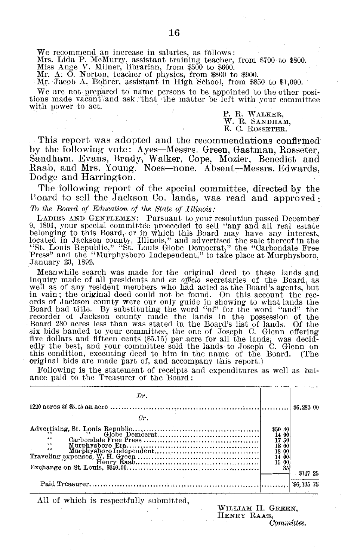We recommend an increase in salaries, as follows:

Mrs. Lida P. McMurry, assistant training teacher, from \$700 to \$800<br>Miss Ange V. Milner, librarian, from \$500 to \$600.<br>Mr. A. O. Norton, teacher of physics, from \$800 to \$900.<br>Mr. Jacob A. Eqhrer, assistant in High School,

We are not prepared to name persons to be appointed to the other positions made vacant and ask that the matter be left with your committee with power to act.

> P. R. WALKER, W. R. SANDHAM, E. C. **ROSSETER.**

This report was adopted and the recommendations confirmed by the following vote: Ayes-Messrs. Green, Gastman, Rosseter, Sandham. Evans, Brady) Walker, Cope, Mozier, Benedict and Raab, and Mrs. Young. Noes-none. Absent-Messrs. Edwards, Dodge and Harrington.

The following report of the special committee, directed by the Board to sell the Jackson Co. lands, was read and approved: *To the Board of Education of the State of Illinois:*

LADIES AND GENTLEMEN: Pursuant to your resolution passed December 9, 1891, your special committee proceeded to sell "any and all real estate belonging to this Board, or in which this Board may have any interest located in Jackson county, Illinois," and advertised the sale thereof in the "St. Louis Republic," "St. Louis Globe Democrat," the "Carbondale Free Press" and the "Murphysboro Independent," to take place at Murphysboro, January 23, 1892.

Meanwhile search was made for the original deed to these lands and inquiry made of all presidents and *ex officio* secretaries of the Board, as well as of any resident members who had acted as the Board's agents, but in vain; the original deed could not be found. On this account the rec- ords of Jackson county were our only guide in showing to what lands the Board had title. By substituting the word "of" for the word "and" the recorder of Jackson county made the lands in the possession of the Board 280 acres less than was stated in the Board's list of lands. Of the six bids handed to your committee, the one of Joseph C. Glenn offering five dollars and fifteen cents (\$5.15) per acre for all the lands, was decidedly the best, and your committee sold the lands to Joseph C. Glenn on this condition, executing deed to him in the name of the Board. (The original bids are made part of, and accompany this report.)

Following is the statement of receipts and expenditures as well as bal- ance paid to the Treasurer of the Board:

| Dr.                                                                                                                                                                                                                                                                                                                                                                                                                                                                                                                                                                                                 |                                                         |            |
|-----------------------------------------------------------------------------------------------------------------------------------------------------------------------------------------------------------------------------------------------------------------------------------------------------------------------------------------------------------------------------------------------------------------------------------------------------------------------------------------------------------------------------------------------------------------------------------------------------|---------------------------------------------------------|------------|
|                                                                                                                                                                                                                                                                                                                                                                                                                                                                                                                                                                                                     |                                                         | \$6,283 00 |
| Cr.                                                                                                                                                                                                                                                                                                                                                                                                                                                                                                                                                                                                 |                                                         |            |
| ${\small \begin{tabular}{ll} \bf{Adverjising, St. Lquis Republic} \end{tabular}} {\small \begin{tabular}{ll} \bf{Adverjising, St. Lquis Republic} \end{tabular}} {\small \begin{tabular}{ll} \bf{Carbondale Free Press} \end{tabular}} {\small \begin{tabular}{ll} \bf{Carbondale Prevers} \end{tabular}} {\small \begin{tabular}{ll} \bf{Carbondale Pre} \end{tabular}} {\small \begin{tabular}{ll} \bf{Travelling} \end{tabular}} {\small \begin{tabular}{ll} \bf{Traveling} \end{tabular}} {\small \begin{tabular}{ll} \bf{Traveling} \end{tabular}} {\small \begin{tabular}{ll} \bf{Carbonase}$ | \$50 40<br>14 00<br>17 50<br>18 00<br>18 00<br>14<br>15 |            |
|                                                                                                                                                                                                                                                                                                                                                                                                                                                                                                                                                                                                     | 35                                                      | \$147 25   |
|                                                                                                                                                                                                                                                                                                                                                                                                                                                                                                                                                                                                     |                                                         | \$6,135 75 |

All of which is respectfully submitted,

WILLIAM H. GREEN, HENRY RAAB, *Committee.*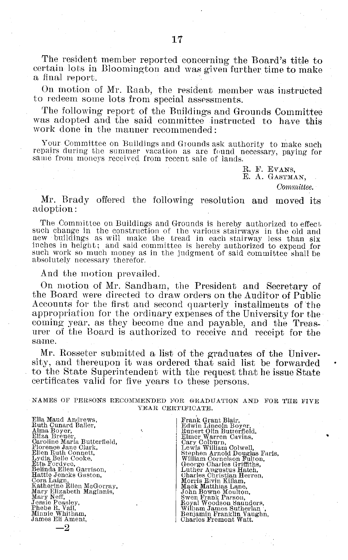The resident member reported concerning the Board's title to certain lots in Bloomington and was given further time to make a final report.

**On** motion of Mr. Raab, the resident member was instructed to redeem some lots from special assessments.

The following report of the Buildings and Grounds Committee was adopted and the said committee instructed to have this work done in the manner recommended:

Your Committee on Buildings and Grounds ask authority to make such repairs during the summer vacation as are found necessary, paying for same from moneys received from recent sale of lands.

> R. F. EVANS, E. A. GASTMAN, *Committee.*

Mr. Brady offered the following resolution and moved its adoption:

The Committee on Buildings and Grounds is hereby authorized to effect such change in the construction of the various stairways in the old and new buildings as will make the tread in each stairway less than six inches in height; and said committee is hereby authorized to expend for such work so much money as in the judgment of said committee shall be absolutely necessary therefor.

And the motion prevailed.

On motion of Mr. Sandham, the President and Secretary of the Board were directed to draw orders on the Auditor of Public Accounts for the first and second quarterly installments of the appropriation for the ordinary expenses of the University for the coming year, as they become due and payable, and the Treasurer of the Board is authorized to receive and receipt for the same.

Mr. Rosseter submitted a list of the graduates of the University, and thereupon it was ordered that said list be forwarded to the State Superintendent with the request that he issue State certificates valid for five years to these persons.

#### NAMES OF PERSONS RECOMMENDED FOR GRADUATION AND FOR THE FIVE YEAR CERTIFICATE.

Ella Maud Andrews,<br>Ruth Cunard Baller,<br>Alma Boyer,<br>Caroline Maria Butterfield<br>Florence Jane Clark,<br>Ellen Ruth Connett,<br>Lydia Belle Cooke,<br>Etta Fordvce,<br>Belinda Ellen Garrison,<br>Belinda Ellen Garrison, Hattie Jencks Gaston, Cora Laign, Katherine Ellen McGorray, Mary Elizabeth Maginnis, Mary Neff, Jessie Peasley, Phebe R. Vail, Minnie Whitham, James Eli Ament,

 $-2$ 

Frank Grant Blair,<br>Edwin Lincoln Boyer,<br>Rupert Olin Butterfield<br>Elmer Warren Cavins,<br>Cary Colburn, Lewis William Colwell,<br>Stephen Arnold Douglas Faris William Cornelson Fulton,<br>George Charles Griffiths,<br>Luther Augustus Hatch,<br>Charles Christian Herren,<br>Morris Elvin Killam,<br>Mack Matthias Lane,<br>John Bowne Moulton, Swen Frank Parson, Royal Woodson Saunders, William James Sutherlan",<br>Benjamin Franklin Vaughn,<br>Charles Fremont Watt.